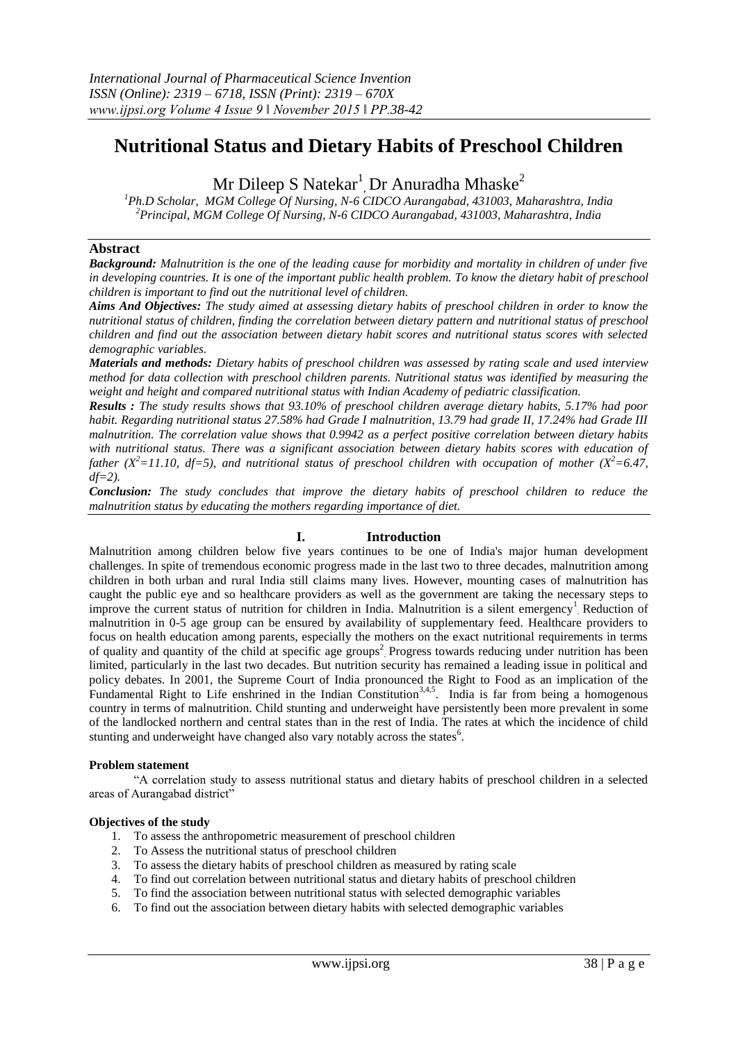# **Nutritional Status and Dietary Habits of Preschool Children**

# Mr Dileep S Natekar<sup>1</sup>, Dr Anuradha Mhaske<sup>2</sup>

*<sup>1</sup>Ph.D Scholar, MGM College Of Nursing, N-6 CIDCO Aurangabad, 431003, Maharashtra, India <sup>2</sup>Principal, MGM College Of Nursing, N-6 CIDCO Aurangabad, 431003, Maharashtra, India*

#### **Abstract**

*Background: Malnutrition is the one of the leading cause for morbidity and mortality in children of under five in developing countries. It is one of the important public health problem. To know the dietary habit of preschool children is important to find out the nutritional level of children.*

*Aims And Objectives: The study aimed at assessing dietary habits of preschool children in order to know the nutritional status of children, finding the correlation between dietary pattern and nutritional status of preschool children and find out the association between dietary habit scores and nutritional status scores with selected demographic variables.*

*Materials and methods: Dietary habits of preschool children was assessed by rating scale and used interview method for data collection with preschool children parents. Nutritional status was identified by measuring the weight and height and compared nutritional status with Indian Academy of pediatric classification.*

*Results : The study results shows that 93.10% of preschool children average dietary habits, 5.17% had poor habit. Regarding nutritional status 27.58% had Grade I malnutrition, 13.79 had grade II, 17.24% had Grade III malnutrition. The correlation value shows that 0.9942 as a perfect positive correlation between dietary habits with nutritional status. There was a significant association between dietary habits scores with education of father* ( $X^2$ =11.10, df=5), and nutritional status of preschool children with occupation of mother ( $X^2$ =6.47, *df=2).*

*Conclusion: The study concludes that improve the dietary habits of preschool children to reduce the malnutrition status by educating the mothers regarding importance of diet.*

#### **I. Introduction**

Malnutrition among children below five years continues to be one of India's major human development challenges. In spite of tremendous economic progress made in the last two to three decades, malnutrition among children in both urban and rural India still claims many lives. However, mounting cases of malnutrition has caught the public eye and so healthcare providers as well as the government are taking the necessary steps to improve the current status of nutrition for children in India. Malnutrition is a silent emergency<sup>1</sup> Reduction of malnutrition in 0-5 age group can be ensured by availability of supplementary feed. Healthcare providers to focus on health education among parents, especially the mothers on the exact nutritional requirements in terms of quality and quantity of the child at specific age groups<sup>2</sup> Progress towards reducing under nutrition has been limited, particularly in the last two decades. But nutrition security has remained a leading issue in political and policy debates. In 2001, the Supreme Court of India pronounced the Right to Food as an implication of the Fundamental Right to Life enshrined in the Indian Constitution<sup>3,4,5</sup>. India is far from being a homogenous country in terms of malnutrition. Child stunting and underweight have persistently been more prevalent in some of the landlocked northern and central states than in the rest of India. The rates at which the incidence of child stunting and underweight have changed also vary notably across the states<sup>6</sup>.

#### **Problem statement**

"A correlation study to assess nutritional status and dietary habits of preschool children in a selected areas of Aurangabad district"

#### **Objectives of the study**

- 1. To assess the anthropometric measurement of preschool children
- 2. To Assess the nutritional status of preschool children
- 3. To assess the dietary habits of preschool children as measured by rating scale
- 4. To find out correlation between nutritional status and dietary habits of preschool children
- 5. To find the association between nutritional status with selected demographic variables
- 6. To find out the association between dietary habits with selected demographic variables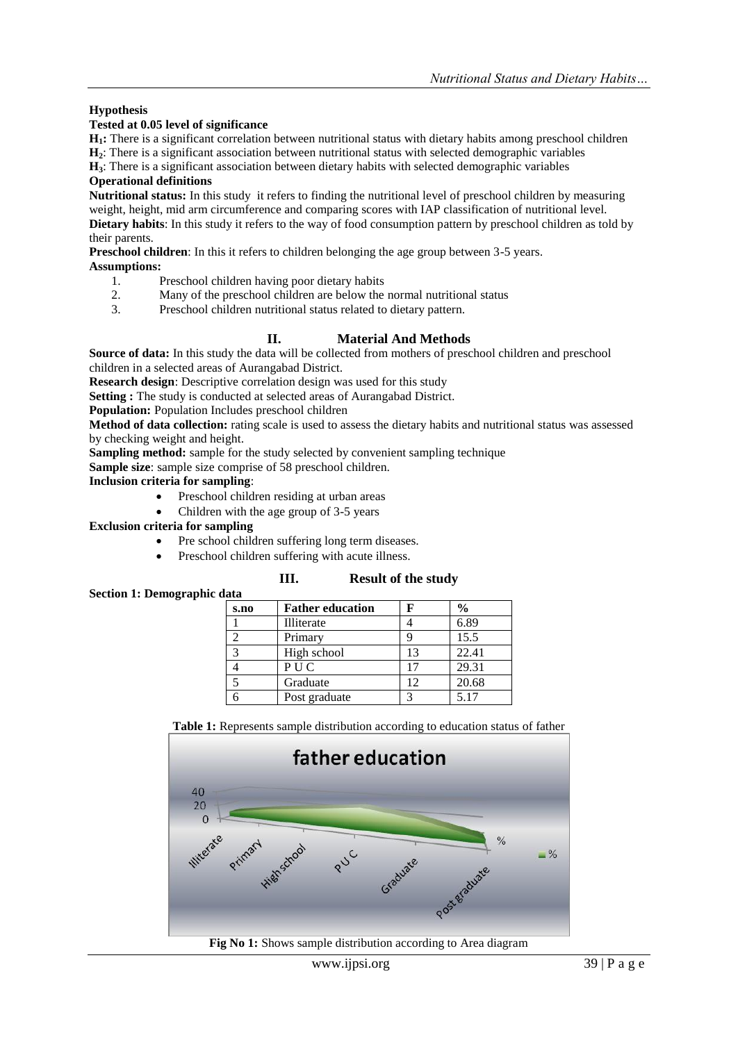## **Hypothesis**

#### **Tested at 0.05 level of significance**

**H1:** There is a significant correlation between nutritional status with dietary habits among preschool children

**H2**: There is a significant association between nutritional status with selected demographic variables

**H3**: There is a significant association between dietary habits with selected demographic variables

## **Operational definitions**

**Nutritional status:** In this study it refers to finding the nutritional level of preschool children by measuring weight, height, mid arm circumference and comparing scores with IAP classification of nutritional level. **Dietary habits**: In this study it refers to the way of food consumption pattern by preschool children as told by their parents.

**Preschool children**: In this it refers to children belonging the age group between 3-5 years.

#### **Assumptions:**

- 1. Preschool children having poor dietary habits
- 2. Many of the preschool children are below the normal nutritional status
- 3. Preschool children nutritional status related to dietary pattern.

## **II. Material And Methods**

**Source of data:** In this study the data will be collected from mothers of preschool children and preschool children in a selected areas of Aurangabad District.

**Research design**: Descriptive correlation design was used for this study

**Setting :** The study is conducted at selected areas of Aurangabad District.

**Population:** Population Includes preschool children

**Method of data collection:** rating scale is used to assess the dietary habits and nutritional status was assessed by checking weight and height.

**Sampling method:** sample for the study selected by convenient sampling technique

**Sample size**: sample size comprise of 58 preschool children.

**Inclusion criteria for sampling**:

- Preschool children residing at urban areas
- Children with the age group of 3-5 years

#### **Exclusion criteria for sampling**

**Section 1: Demographic data**

- Pre school children suffering long term diseases.
- Preschool children suffering with acute illness.

# **III. Result of the study**  $\overline{\mathbf{F}}$  **Father education**  $\overline{\mathbf{F}}$

| 8.HO | r ather equeation |    | 70    |
|------|-------------------|----|-------|
|      | Illiterate        |    | 6.89  |
|      | Primary           |    | 15.5  |
|      | High school       | 13 | 22.41 |
|      | PUC               | 17 | 29.31 |
|      | Graduate          | 12 | 20.68 |
|      | Post graduate     |    | 5.17  |

**Table 1:** Represents sample distribution according to education status of father



**Fig No 1:** Shows sample distribution according to Area diagram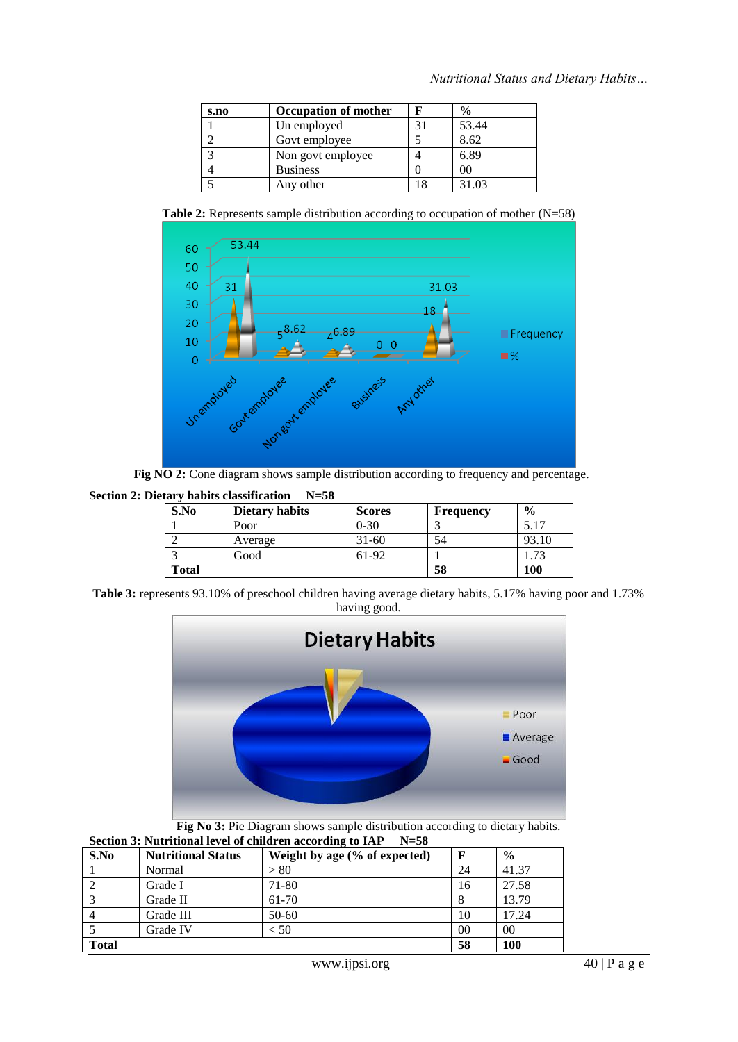| s.no | Occupation of mother |    | $\frac{6}{9}$ |
|------|----------------------|----|---------------|
|      | Un employed          |    | 53.44         |
|      | Govt employee        |    | 8.62          |
|      | Non govt employee    |    | 6.89          |
|      | <b>Business</b>      |    | 00            |
|      | Any other            | 18 | 31.03         |

**Table 2:** Represents sample distribution according to occupation of mother (N=58)



Fig NO 2: Cone diagram shows sample distribution according to frequency and percentage.

**Section 2: Dietary habits classification N=58**

| S.No         | Dietary habits | <b>Scores</b> | Frequency | $\frac{6}{9}$ |
|--------------|----------------|---------------|-----------|---------------|
|              | Poor           | $0 - 30$      |           | 5.17          |
|              | Average        | 31-60         | 54        | 93.10         |
|              | Good           | 61-92         |           | 1.73          |
| <b>Total</b> |                |               | 58        | 100           |

**Table 3:** represents 93.10% of preschool children having average dietary habits, 5.17% having poor and 1.73% having good.



**Fig No 3:** Pie Diagram shows sample distribution according to dietary habits. **Section 3: Nutritional level of children according to IAP N=58**

| section s, ivuti itional icvel of emigren according to IAI<br>$11 - 30$ |                           |                               |    |               |  |  |
|-------------------------------------------------------------------------|---------------------------|-------------------------------|----|---------------|--|--|
| S.No                                                                    | <b>Nutritional Status</b> | Weight by age (% of expected) |    | $\frac{0}{0}$ |  |  |
|                                                                         | Normal                    | > 80                          | 24 | 41.37         |  |  |
|                                                                         | Grade I                   | 71-80                         | 16 | 27.58         |  |  |
|                                                                         | Grade II                  | 61-70                         | 8  | 13.79         |  |  |
|                                                                         | Grade III                 | $50-60$                       | 10 | 17.24         |  |  |
|                                                                         | Grade IV                  | $<$ 50 $\,$                   | 00 | 00            |  |  |
| Total                                                                   | 58                        | <b>100</b>                    |    |               |  |  |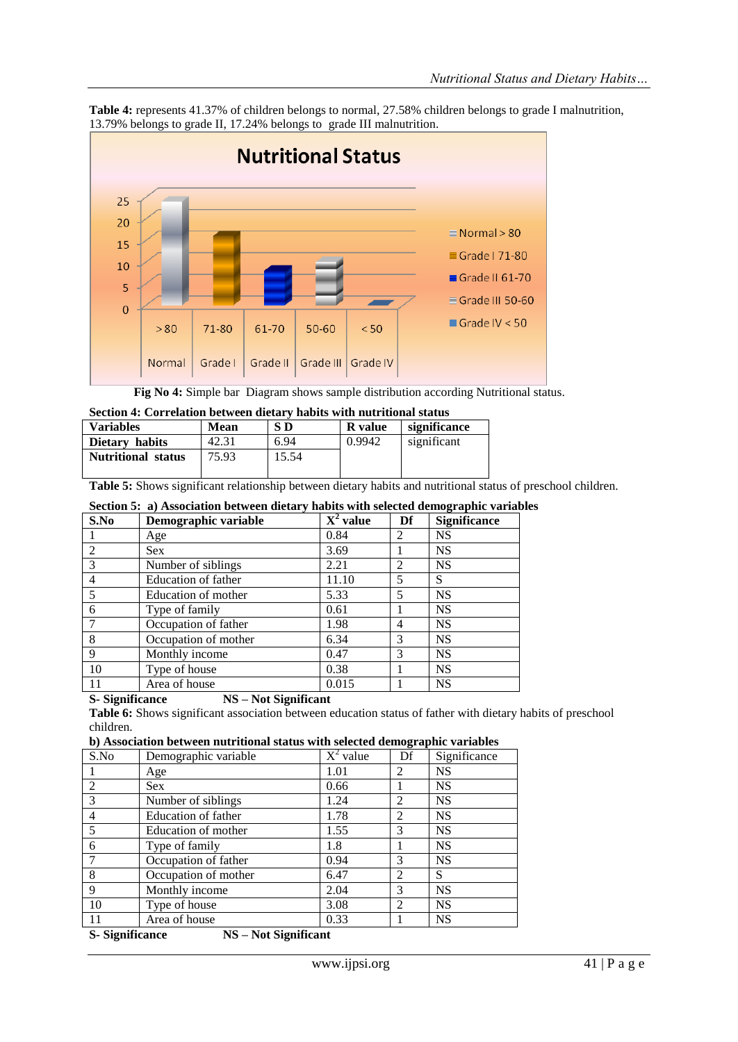

**Table 4:** represents 41.37% of children belongs to normal, 27.58% children belongs to grade I malnutrition, 13.79% belongs to grade II, 17.24% belongs to grade III malnutrition.

**Fig No 4:** Simple bar Diagram shows sample distribution according Nutritional status.

| Section 4: Correlation between dietary habits with nutritional status |  |  |
|-----------------------------------------------------------------------|--|--|
|-----------------------------------------------------------------------|--|--|

| <b>Variables</b>          | Mean  | S D   | <b>R</b> value | significance |
|---------------------------|-------|-------|----------------|--------------|
| Dietary habits            | 42.31 | 6.94  | 0.9942         | significant  |
| <b>Nutritional status</b> | 75.93 | 15.54 |                |              |

**Table 5:** Shows significant relationship between dietary habits and nutritional status of preschool children.

|  | Section 5: a) Association between dietary habits with selected demographic variables |
|--|--------------------------------------------------------------------------------------|
|--|--------------------------------------------------------------------------------------|

| S.No | Demographic variable | $X^2$ value | Df             | <b>Significance</b> |
|------|----------------------|-------------|----------------|---------------------|
|      | Age                  | 0.84        | 2              | <b>NS</b>           |
| 2    | <b>Sex</b>           | 3.69        |                | <b>NS</b>           |
| 3    | Number of siblings   | 2.21        | $\overline{c}$ | <b>NS</b>           |
| 4    | Education of father  | 11.10       | 5              | S                   |
| 5    | Education of mother  | 5.33        | 5              | <b>NS</b>           |
| 6    | Type of family       | 0.61        |                | <b>NS</b>           |
|      | Occupation of father | 1.98        | 4              | <b>NS</b>           |
| 8    | Occupation of mother | 6.34        | 3              | <b>NS</b>           |
| 9    | Monthly income       | 0.47        | 3              | <b>NS</b>           |
| 10   | Type of house        | 0.38        |                | <b>NS</b>           |
| 11   | Area of house        | 0.015       |                | <b>NS</b>           |

#### **S- Significance NS – Not Significant**

**Table 6:** Shows significant association between education status of father with dietary habits of preschool children.

|  |  |  | b) Association between nutritional status with selected demographic variables |  |
|--|--|--|-------------------------------------------------------------------------------|--|
|  |  |  |                                                                               |  |

| S.No              | Demographic variable      | $X^2$ value | Df | Significance |
|-------------------|---------------------------|-------------|----|--------------|
|                   | Age                       | 1.01        | 2  | <b>NS</b>    |
| 2                 | <b>Sex</b>                | 0.66        |    | <b>NS</b>    |
| 3                 | Number of siblings        | 1.24        | 2  | <b>NS</b>    |
| $\overline{4}$    | Education of father       | 1.78        | 2  | <b>NS</b>    |
| 5                 | Education of mother       | 1.55        | 3  | <b>NS</b>    |
| 6                 | Type of family            | 1.8         |    | <b>NS</b>    |
| 7                 | Occupation of father      | 0.94        | 3  | <b>NS</b>    |
| -8                | Occupation of mother      | 6.47        | 2  | S            |
| 9                 | Monthly income            | 2.04        | 3  | <b>NS</b>    |
| 10                | Type of house             | 3.08        | 2  | <b>NS</b>    |
| 11                | Area of house             | 0.33        |    | <b>NS</b>    |
| $\sim$ $\sim$<br> | $\mathbf{1}$<br>$\bullet$ |             |    |              |

**S- Significance NS – Not Significant**